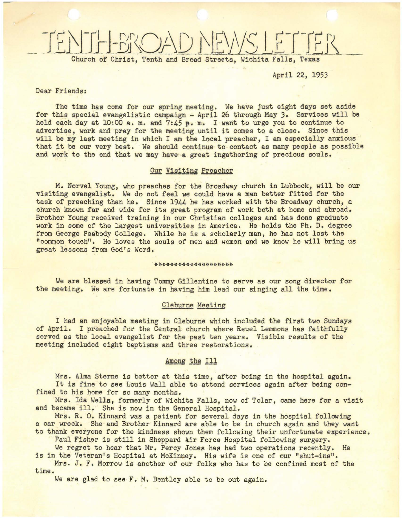# Church of Christ, Tenth and Broad Streets, Wichita Falls, Texas

April 22, 1953

#### Dear Friends:

-

The time has come for our spring meeting. We have just eight days set aside for this special evangelistic campaign - April 26 through May 3. Services will be held each day at 10:00 a. m. and 7:45 p. m. I warit to urge you to continue to advertise, work and pray for the meeting until it comes to <sup>a</sup> close. Since this will be my last meeting in which I am the local preacher, I am especially anxious that it be our very best. We should continue to contact as many people as possible and work to the end that we may have a greet ingathering of precious souls.

## Our Visiting Preacher

M. Norvel Young, who preaches for the Broadway church in Lubbock, will be our Visiting evangelist. We do not feel we could have a man better fitted for the task of preaching than he. Since 1944 he has worked with the Broadway church, a church known far and wide for its great program of work both at home and abroad. Brother Young received training in our Christian colleges and has done graduate work in some of the largest universities in America. He holds the Ph. D. degree from George Peabody College. While he is a scholarly man, he has not lost the "common touch". He loves the souls of men and women and we know he will bring us great lessons from God's Word.

#### **\*\*\*\*\*\*\*\*\*\*\*\*\*\*\*\*\*\*\*\***

We are blessed in having Tommy Gillentine to serve as our song director for the meeting. We are fortunate in having him lead our singing all the time.

## Cleburne Meeting

I had an enjoyable meeting in Cleburne which included the first two Sundays of April. I preached for the Central church where Reuel Lemmons has faithfully served as the local evangelist for the past ten years. Visible results of the meeting included eight baptisms and threa restorations.

#### Among the Ill

Mrs. Alma Sterne is better at this time, after being in the hospital again. It is fine to see Louis Wall able to attend services again after being confined to his home for so many months.

Mrs. Ida Wella, formerly of Wichita Falls, now of Tolar, came here for a visit and became ill. She is now in the General Hospital.

Mrs. R. O. Kinnard was a patient for several days in the hospital following a car wreck. She and Brother Kinnard are able to be in church again and they want to thank everyone for the kindness shown them following their unfortunate experience.

Paul Fisher is still in Sheppard Air Force Hospital following surgery.

We regret to hear that Mr. Percy Jones has had two operations recently. He is in the Veteran's Hospital at McKinney. His wife is one of our "shut-ins".

Mrs. J. F. Morrow is another of our folks who has to be confined most of the time.

We are glad to see F. M. Bentley able to be out again.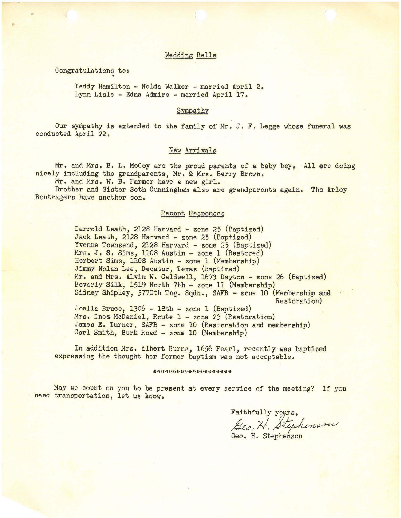#### Wedding Bella

Congratulations to:

•

Teddy Hamilton - Nelda Walker - married April 2. Lynn Lisle - Edna Admire - married April 17.

#### Sympathy

Our sympathy is extended to the family of Mr. J. F. Legge whose funeral was conducted April 22.

#### **New Arrivals**

Mr. and Mrs. B. L. McCoy are the proud parents of a baby boy. All are doing nicely including the grandparents, Mr. & Mrs. Berry Brown.

Mr. and Mrs. W. B. Farmer have a new girl.

Brother and Sister Seth Cunningham also are grandparents again. The Arley Bontragers have another son.

## Recent Responses

Darrold Leath, 2128 Harvard - zone 25 (Baptized) Jack Leath, 2128 Harvard - zone 25 (Baptized) Yvonne Townsend, 2128 Harvard - zone 25 (Baptized) Mrs. J. S. Sims, 1108 Austin - zone 1 (Restored) Herbert Sims, 1108 Austin - zone 1 (Membership) Jimmy Nolan Lee, Decatur, Texas (Baptized) Mr. and Mrs. Alvin W. Caldwell, 1673 Dayton - sone 26 (Baptized) Beverly Silk, 1519 North 7th - zone 11 (Membership) Sidney Shipley, 3770th Tng. Sqdn., SAFB - zone 10 (Membership and Restoration)

Joella Bruce, 1306 - 18th - zone 1 (Baptized) Mrs. Inez McDaniel, Route 1 - zone 23 (Restoration) James E. Turner, SAFB - zone 10 (Restoration and membership) Carl Smith, Burk Road - zone 10 (Membership)

In addition Mrs. Albert Burns, 1656 Pearl, recently was baptized expressing the thought her former baptism was not acceptable.

#### \*\*\*\*\*\*\*\*\*\*\*\*\*\*\*\*

May we count on you to be present at every service of the meeting? If you need transportation, let us know.

Faithfully yours, Geo, H. Stephenson

Geo. H. Stephenson